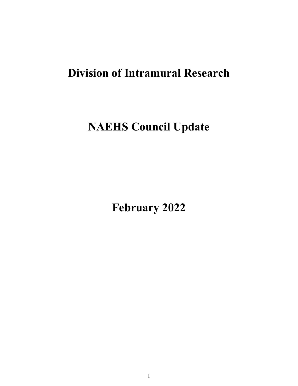# **Division of Intramural Research**

# **NAEHS Council Update**

**February 2022**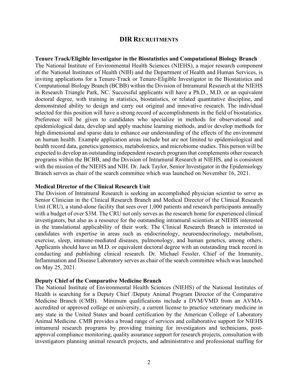#### **DIR RECRUITMENTS**

#### **Tenure Track/Eligible Investigator in the Biostatistics and Computational Biology Branch**

 Branch serves as chair of the search committee which was launched on November 16, 2021. The National Institute of Environmental Health Sciences (NIEHS), a major research component of the National Institutes of Health (NIH) and the Department of Health and Human Services, is inviting applications for a Tenure-Track or Tenure-Eligible Investigator in the Biostatistics and Computational Biology Branch (BCBB) within the Division of Intramural Research at the NIEHS in Research Triangle Park, NC. Successful applicants will have a Ph.D., M.D. or an equivalent doctoral degree, with training in statistics, biostatistics, or related quantitative discipline, and demonstrated ability to design and carry out original and innovative research. The individual selected for this position will have a strong record of accomplishments in the field of biostatistics. Preference will be given to candidates who specialize in methods for observational and epidemiological data, develop and apply machine learning methods, and/or develop methods for high dimensional and sparse data to enhance our understanding of the effects of the environment on human health. Example application areas include but are not limited to epidemiological and health record data, genetics/genomics, metabolomics, and microbiome studies. This person will be expected to develop an outstanding independent research program that complements other research programs within the BCBB, and the Division of Intramural Research at NIEHS, and is consistent with the mission of the NIEHS and NIH. Dr. Jack Taylor, Senior Investigator in the Epidemiology

#### **Medical Director of the Clinical Research Unit**

 investigators, but also as a resource for the outstanding intramural scientists at NIEHS interested on May 25, 2021. The Division of Intramural Research is seeking an accomplished physician scientist to serve as Senior Clinician in the Clinical Research Branch and Medical Director of the Clinical Research Unit (CRU), a stand-alone facility that sees over 1,000 patients and research participants annually with a budget of over \$3M. The CRU not only serves as the research home for experienced clinical in the translational applicability of their work. The Clinical Research Branch is interested in candidates with expertise in areas such as endocrinology, neuroendocrinology, metabolism, exercise, sleep, immune-mediated diseases, pulmonology, and human genetics, among others. Applicants should have an M.D. or equivalent doctoral degree with an outstanding track record in conducting and publishing clinical research. Dr. Michael Fessler, Chief of the Immunity, Inflammation and Disease Laboratory serves as chair of the search committee which was launched

#### **Deputy Chief of the Comparative Medicine Branch**

The National Institute of Environmental Health Sciences (NIEHS) of the National Institutes of Health is searching for a Deputy Chief /Deputy Animal Program Director of the Comparative Medicine Branch (CMB). Minimum qualifications include a DVM/VMD from an AVMAaccredited or approved college or university, a current license to practice veterinary medicine in any state in the United States and board certification by the American College of Laboratory Animal Medicine. CMB provides a broad range of services and collaborative support for NIEHS intramural research programs by providing training for investigators and technicians, postapproval compliance monitoring, quality assurance support for research projects, consultation with investigators planning animal research projects, and administrative and professional staffing for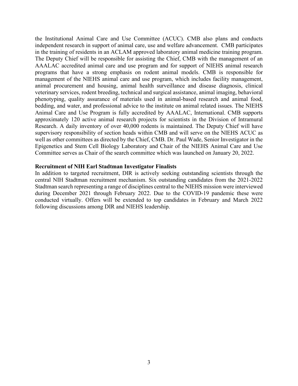well as other committees as directed by the Chief, CMB. Dr. Paul Wade, Senior Investigator in the Committee serves as Chair of the search committee which was launched on January 20, 2022. the Institutional Animal Care and Use Committee (ACUC). CMB also plans and conducts independent research in support of animal care, use and welfare advancement. CMB participates in the training of residents in an ACLAM approved laboratory animal medicine training program. The Deputy Chief will be responsible for assisting the Chief, CMB with the management of an AAALAC accredited animal care and use program and for support of NIEHS animal research programs that have a strong emphasis on rodent animal models. CMB is responsible for management of the NIEHS animal care and use program, which includes facility management, animal procurement and housing, animal health surveillance and disease diagnosis, clinical veterinary services, rodent breeding, technical and surgical assistance, animal imaging, behavioral phenotyping, quality assurance of materials used in animal-based research and animal food, bedding, and water, and professional advice to the institute on animal related issues. The NIEHS Animal Care and Use Program is fully accredited by AAALAC, International. CMB supports approximately 120 active animal research projects for scientists in the Division of Intramural Research. A daily inventory of over 40,000 rodents is maintained. The Deputy Chief will have supervisory responsibility of section heads within CMB and will serve on the NIEHS ACUC as Epigenetics and Stem Cell Biology Laboratory and Chair of the NIEHS Animal Care and Use

#### **Recruitment of NIH Earl Stadtman Investigator Finalists**

In addition to targeted recruitment, DIR is actively seeking outstanding scientists through the central NIH Stadtman recruitment mechanism. Six outstanding candidates from the 2021-2022 Stadtman search representing a range of disciplines central to the NIEHS mission were interviewed during December 2021 through February 2022. Due to the COVID-19 pandemic these were conducted virtually. Offers will be extended to top candidates in February and March 2022 following discussions among DIR and NIEHS leadership.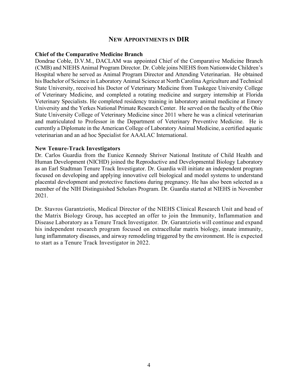#### **NEW APPOINTMENTS IN DIR**

#### **Chief of the Comparative Medicine Branch**

 Dondrae Coble, D.V.M., DACLAM was appointed Chief of the Comparative Medicine Branch and matriculated to Professor in the Department of Veterinary Preventive Medicine. He is (CMB) and NIEHS Animal Program Director. Dr. Coble joins NIEHS from Nationwide Children's Hospital where he served as Animal Program Director and Attending Veterinarian. He obtained his Bachelor of Science in Laboratory Animal Science at North Carolina Agriculture and Technical State University, received his Doctor of Veterinary Medicine from Tuskegee University College of Veterinary Medicine, and completed a rotating medicine and surgery internship at Florida Veterinary Specialists. He completed residency training in laboratory animal medicine at Emory University and the Yerkes National Primate Research Center. He served on the faculty of the Ohio State University College of Veterinary Medicine since 2011 where he was a clinical veterinarian currently a Diplomate in the American College of Laboratory Animal Medicine, a certified aquatic veterinarian and an ad hoc Specialist for AAALAC International.

#### **New Tenure-Track Investigators**

 Human Development (NICHD) joined the Reproductive and Developmental Biology Laboratory placental development and protective functions during pregnancy. He has also been selected as a Dr. Carlos Guardia from the Eunice Kennedy Shriver National Institute of Child Health and as an Earl Stadtman Tenure Track Investigator. Dr. Guardia will initiate an independent program focused on developing and applying innovative cell biological and model systems to understand member of the NIH Distinguished Scholars Program. Dr. Guardia started at NIEHS in November 2021.

 Dr. Stavros Garantziotis, Medical Director of the NIEHS Clinical Research Unit and head of lung inflammatory diseases, and airway remodeling triggered by the environment. He is expected the Matrix Biology Group, has accepted an offer to join the Immunity, Inflammation and Disease Laboratory as a Tenure Track Investigator. Dr. Garantziotis will continue and expand his independent research program focused on extracellular matrix biology, innate immunity, to start as a Tenure Track Investigator in 2022.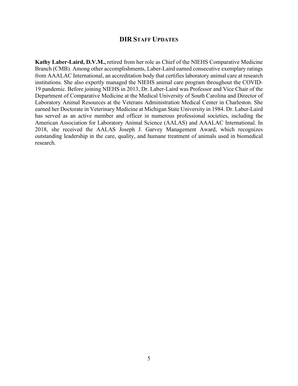#### **DIR STAFF UPDATES**

 **Kathy Laber-Laird, D.V.M.,** retired from her role as Chief of the NIEHS Comparative Medicine from AAALAC International, an accreditation body that certifies laboratory animal care at research institutions. She also expertly managed the NIEHS animal care program throughout the COVID- Department of Comparative Medicine at the Medical University of South Carolina and Director of Laboratory Animal Resources at the Veterans Administration Medical Center in Charleston. She earned her Doctorate in Veterinary Medicine at Michigan State University in 1984. Dr. Laber-Laird has served as an active member and officer in numerous professional societies, including the outstanding leadership in the care, quality, and humane treatment of animals used in biomedical Branch (CMB). Among other accomplishments, Laber-Laird earned consecutive exemplary ratings 19 pandemic. Before joining NIEHS in 2013, Dr. Laber-Laird was Professor and Vice Chair of the American Association for Laboratory Animal Science (AALAS) and AAALAC International. In 2018, she received the AALAS Joseph J. Garvey Management Award, which recognizes research.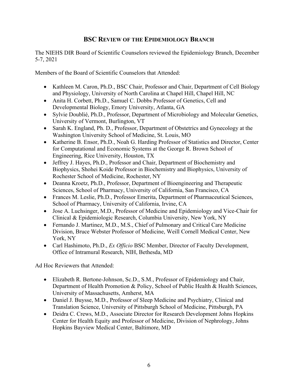### **BSC REVIEW OF THE EPIDEMIOLOGY BRANCH**

The NIEHS DIR Board of Scientific Counselors reviewed the Epidemiology Branch, December 5-7, 2021

Members of the Board of Scientific Counselors that Attended:

- Kathleen M. Caron, Ph.D., BSC Chair, Professor and Chair, Department of Cell Biology and Physiology, University of North Carolina at Chapel Hill, Chapel Hill, NC
- Anita H. Corbett, Ph.D., Samuel C. Dobbs Professor of Genetics, Cell and Developmental Biology, Emory University, Atlanta, GA
- University of Vermont, Burlington, VT • Sylvie Doublié, Ph.D., Professor, Department of Microbiology and Molecular Genetics,
- Sarah K. England, Ph. D., Professor, Department of Obstetrics and Gynecology at the Washington University School of Medicine, St. Louis, MO
- Katherine B. Ensor, Ph.D., Noah G. Harding Professor of Statistics and Director, Center for Computational and Economic Systems at the George R. Brown School of Engineering, Rice University, Houston, TX
- Rochester School of Medicine, Rochester, NY • Jeffrey J. Hayes, Ph.D., Professor and Chair, Department of Biochemistry and Biophysics, Shohei Koide Professor in Biochemistry and Biophysics, University of
- Deanna Kroetz, Ph.D., Professor, Department of Bioengineering and Therapeutic Sciences, School of Pharmacy, University of California, San Francisco, CA
- Frances M. Leslie, Ph.D., Professor Emerita, Department of Pharmaceutical Sciences, School of Pharmacy, University of California, Irvine, CA
- Jose A. Luchsinger, M.D., Professor of Medicine and Epidemiology and Vice-Chair for Clinical & Epidemiologic Research, Columbia University, New York, NY
- Division, Bruce Webster Professor of Medicine, Weill Cornell Medical Center, New • Fernando J. Martinez, M.D., M.S., Chief of Pulmonary and Critical Care Medicine York, NY
- • Carl Hashimoto, Ph.D., *Ex Officio* BSC Member, Director of Faculty Development, Office of Intramural Research, NIH, Bethesda, MD

Ad Hoc Reviewers that Attended:

- University of Massachusetts, Amherst, MA • Elizabeth R. Bertone-Johnson, Sc.D., S.M., Professor of Epidemiology and Chair, Department of Health Promotion & Policy, School of Public Health & Health Sciences,
- Daniel J. Buysse, M.D., Professor of Sleep Medicine and Psychiatry, Clinical and Translation Science, University of Pittsburgh School of Medicine, Pittsburgh, PA
- Deidra C. Crews, M.D., Associate Director for Research Development Johns Hopkins Center for Health Equity and Professor of Medicine, Division of Nephrology, Johns Hopkins Bayview Medical Center, Baltimore, MD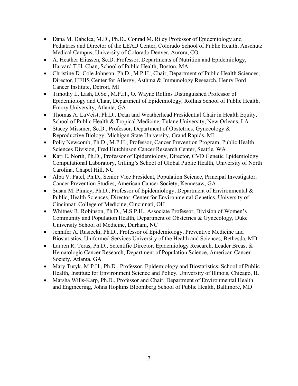- Dana M. Dabelea, M.D., Ph.D., Conrad M. Riley Professor of Epidemiology and Pediatrics and Director of the LEAD Center, Colorado School of Public Health, Anschutz Medical Campus, University of Colorado Denver, Aurora, CO
- A. Heather Eliassen, Sc.D. Professor, Departments of Nutrition and Epidemiology, Harvard T.H. Chan, School of Public Health, Boston, MA
- Christine D. Cole Johnson, Ph.D., M.P.H., Chair, Department of Public Health Sciences, Director, HFHS Center for Allergy, Asthma & Immunology Research, Henry Ford Cancer Institute, Detroit, MI
- Timothy L. Lash, D.Sc., M.P.H., O. Wayne Rollins Distinguished Professor of Epidemiology and Chair, Department of Epidemiology, Rollins School of Public Health, Emory University, Atlanta, GA
- Thomas A. LaVeist, Ph.D., Dean and Weatherhead Presidential Chair in Health Equity, School of Public Health & Tropical Medicine, Tulane University, New Orleans, LA
- Reproductive Biology, Michigan State University, Grand Rapids, MI • Stacey Missmer, Sc.D., Professor, Department of Obstetrics, Gynecology &
- Polly Newcomb, Ph.D., M.P.H., Professor, Cancer Prevention Program, Public Health Sciences Division, Fred Hutchinson Cancer Research Center, Seattle, WA
- Carolina, Chapel Hill, NC • Kari E. North, Ph.D., Professor of Epidemiology, Director, CVD Genetic Epidemiology Computational Laboratory, Gilling's School of Global Public Health, University of North
- Alpa V. Patel, Ph.D., Senior Vice President, Population Science, Principal Investigator, Cancer Prevention Studies, American Cancer Society, Kennesaw, GA
- Cincinnati College of Medicine, Cincinnati, OH • Susan M. Pinney, Ph.D., Professor of Epidemiology, Department of Environmental & Public, Health Sciences, Director, Center for Environmental Genetics, University of
- • Whitney R. Robinson, Ph.D., M.S.P.H., Associate Professor, Division of Women's Community and Population Health, Department of Obstetrics & Gynecology, Duke University School of Medicine, Durham, NC
- Biostatistics, Uniformed Services University of the Health and Sciences, Bethesda, MD • Jennifer A. Rusiecki, Ph.D., Professor of Epidemiology, Preventive Medicine and
- Lauren R. Teras, Ph.D., Scientific Director, Epidemiology Research, Leader Breast  $\&$ Hematologic Cancer Research, Department of Population Science, American Cancer Society, Atlanta, GA
- Health, Institute for Environment Science and Policy, University of Illinois, Chicago, IL • Mary Turyk, M.P.H., Ph.D., Professor, Epidemiology and Biostatistics, School of Public
- and Engineering, Johns Hopkins Bloomberg School of Public Health, Baltimore, MD • Marsha Wills-Karp, Ph.D., Professor and Chair, Department of Environmental Health and Engineering, Johns Hopkins Bloomberg School of Public Health, Baltimore, MD<br>
7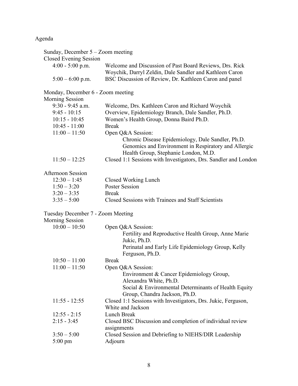Agenda

| Sunday, December $5 -$ Zoom meeting                         |                                                                                                                                                   |
|-------------------------------------------------------------|---------------------------------------------------------------------------------------------------------------------------------------------------|
| Closed Evening Session                                      |                                                                                                                                                   |
| $4:00 - 5:00$ p.m.                                          | Welcome and Discussion of Past Board Reviews, Drs. Rick<br>Woychik, Darryl Zeldin, Dale Sandler and Kathleen Caron                                |
| $5:00 - 6:00$ p.m.                                          | BSC Discussion of Review, Dr. Kathleen Caron and panel                                                                                            |
| Monday, December 6 - Zoom meeting                           |                                                                                                                                                   |
| <b>Morning Session</b>                                      |                                                                                                                                                   |
| $9:30 - 9:45$ a.m.                                          | Welcome, Drs. Kathleen Caron and Richard Woychik                                                                                                  |
| $9:45 - 10:15$                                              | Overview, Epidemiology Branch, Dale Sandler, Ph.D.                                                                                                |
| $10:15 - 10:45$                                             | Women's Health Group, Donna Baird Ph.D.                                                                                                           |
| $10:45 - 11:00$                                             | <b>Break</b>                                                                                                                                      |
| $11:00 - 11:50$                                             | Open Q&A Session:                                                                                                                                 |
|                                                             | Chronic Disease Epidemiology, Dale Sandler, Ph.D.<br>Genomics and Environment in Respiratory and Allergic<br>Health Group, Stephanie London, M.D. |
| $11:50 - 12:25$                                             | Closed 1:1 Sessions with Investigators, Drs. Sandler and London                                                                                   |
| <b>Afternoon Session</b>                                    |                                                                                                                                                   |
| $12:30 - 1:45$                                              | Closed Working Lunch                                                                                                                              |
| $1:50 - 3:20$                                               | <b>Poster Session</b>                                                                                                                             |
| $3:20 - 3:35$                                               | <b>Break</b>                                                                                                                                      |
| $3:35 - 5:00$                                               | Closed Sessions with Trainees and Staff Scientists                                                                                                |
|                                                             |                                                                                                                                                   |
| Tuesday December 7 - Zoom Meeting<br><b>Morning Session</b> |                                                                                                                                                   |
| $10:00 - 10:50$                                             | Open Q&A Session:                                                                                                                                 |
|                                                             | Fertility and Reproductive Health Group, Anne Marie<br>Jukic, Ph.D.                                                                               |
|                                                             | Perinatal and Early Life Epidemiology Group, Kelly<br>Ferguson, Ph.D.                                                                             |
| $10:50 - 11:00$                                             | <b>Break</b>                                                                                                                                      |
| $11:00 - 11:50$                                             | Open Q&A Session:<br>Environment & Cancer Epidemiology Group,                                                                                     |
|                                                             | Alexandra White, Ph.D.<br>Social & Environmental Determinants of Health Equity<br>Group, Chandra Jackson, Ph.D.                                   |
| $11:55 - 12:55$                                             | Closed 1:1 Sessions with Investigators, Drs. Jukic, Ferguson,                                                                                     |
|                                                             | White and Jackson                                                                                                                                 |
| $12:55 - 2:15$                                              | <b>Lunch Break</b>                                                                                                                                |
| $2:15 - 3:45$                                               | Closed BSC Discussion and completion of individual review<br>assignments                                                                          |
| $3:50 - 5:00$                                               | Closed Session and Debriefing to NIEHS/DIR Leadership                                                                                             |
| $5:00 \text{ pm}$                                           | Adjourn                                                                                                                                           |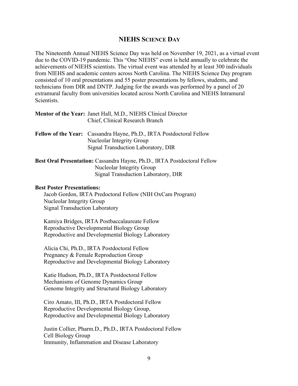#### **NIEHS SCIENCE DAY**

 The Nineteenth Annual NIEHS Science Day was held on November 19, 2021, as a virtual event achievements of NIEHS scientists. The virtual event was attended by at least 300 individuals from NIEHS and academic centers across North Carolina. The NIEHS Science Day program consisted of 10 oral presentations and 55 poster presentations by fellows, students, and technicians from DIR and DNTP. Judging for the awards was performed by a panel of 20 extramural faculty from universities located across North Carolina and NIEHS Intramural due to the COVID-19 pandemic. This "One NIEHS" event is held annually to celebrate the Scientists.

| <b>Mentor of the Year:</b> Janet Hall, M.D., NIEHS Clinical Director |
|----------------------------------------------------------------------|
| Chief, Clinical Research Branch                                      |

- **Fellow of the Year:** Cassandra Hayne, Ph.D., IRTA Postdoctoral Fellow Nucleolar Integrity Group Signal Transduction Laboratory, DIR
- **Best Oral Presentation:** Cassandra Hayne, Ph.D., IRTA Postdoctoral Fellow Nucleolar Integrity Group Signal Transduction Laboratory, DIR

#### **Best Poster Presentations:**

Jacob Gordon, IRTA Predoctoral Fellow (NIH OxCam Program) Nucleolar Integrity Group Signal Transduction Laboratory

Kamiya Bridges, IRTA Postbaccalaureate Fellow Reproductive Developmental Biology Group Reproductive and Developmental Biology Laboratory

Alicia Chi, Ph.D., IRTA Postdoctoral Fellow Pregnancy & Female Reproduction Group Reproductive and Developmental Biology Laboratory

Katie Hudson, Ph.D., IRTA Postdoctoral Fellow Mechanisms of Genome Dynamics Group Genome Integrity and Structural Biology Laboratory

Ciro Amato, III, Ph.D., IRTA Postdoctoral Fellow Reproductive Developmental Biology Group, Reproductive and Developmental Biology Laboratory

Justin Collier, Pharm.D., Ph.D., IRTA Postdoctoral Fellow Cell Biology Group Immunity, Inflammation and Disease Laboratory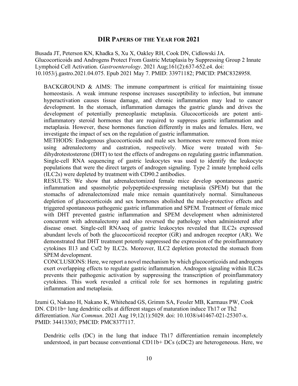#### **DIR PAPERS OF THE YEAR FOR 2021**

Busada JT, Peterson KN, Khadka S, Xu X, Oakley RH, Cook DN, Cidlowski JA. Glucocorticoids and Androgens Protect From Gastric Metaplasia by Suppressing Group 2 Innate Lymphoid Cell Activation. *Gastroenterology*. 2021 [Aug;161\(2\):637-652.e4.](https://Aug;161(2):637-652.e4) doi: 10.1053/j.gastro.2021.04.075. Epub 2021 May 7. PMID: 33971182; PMCID: PMC8328958.

BACKGROUND  $\&$  AIMS: The immune compartment is critical for maintaining tissue homeostasis. A weak immune response increases susceptibility to infection, but immune hyperactivation causes tissue damage, and chronic inflammation may lead to cancer development. In the stomach, inflammation damages the gastric glands and drives the development of potentially preneoplastic metaplasia. Glucocorticoids are potent antiinflammatory steroid hormones that are required to suppress gastric inflammation and metaplasia. However, these hormones function differently in males and females. Here, we investigate the impact of sex on the regulation of gastric inflammation.

 using adrenalectomy and castration, respectively. Mice were treated with 5α-METHODS: Endogenous glucocorticoids and male sex hormones were removed from mice dihydrotestosterone (DHT) to test the effects of androgens on regulating gastric inflammation. Single-cell RNA sequencing of gastric leukocytes was used to identify the leukocyte populations that were the direct targets of androgen signaling. Type 2 innate lymphoid cells (ILC2s) were depleted by treatment with CD90.2 antibodies.

RESULTS: We show that adrenalectomized female mice develop spontaneous gastric inflammation and spasmolytic polypeptide-expressing metaplasia (SPEM) but that the stomachs of adrenalectomized male mice remain quantitatively normal. Simultaneous depletion of glucocorticoids and sex hormones abolished the male-protective effects and triggered spontaneous pathogenic gastric inflammation and SPEM. Treatment of female mice with DHT prevented gastric inflammation and SPEM development when administered concurrent with adrenalectomy and also reversed the pathology when administered after disease onset. Single-cell RNAseq of gastric leukocytes revealed that ILC2s expressed abundant levels of both the glucocorticoid receptor (GR) and androgen receptor (AR). We demonstrated that DHT treatment potently suppressed the expression of the proinflammatory cytokines Il13 and Csf2 by ILC2s. Moreover, ILC2 depletion protected the stomach from SPEM development.

 cytokines. This work revealed a critical role for sex hormones in regulating gastric CONCLUSIONS: Here, we report a novel mechanism by which glucocorticoids and androgens exert overlapping effects to regulate gastric inflammation. Androgen signaling within ILC2s prevents their pathogenic activation by suppressing the transcription of proinflammatory inflammation and metaplasia.

Izumi G, Nakano H, Nakano K, Whitehead GS, Grimm SA, Fessler MB, Karmaus PW, Cook DN. CD11b+ lung dendritic cells at different stages of maturation induce Th17 or Th2 differentiation. *Nat Commun*. 2021 Aug 19;12(1):5029. doi: 10.1038/s41467-021-25307-x. PMID: 34413303; PMCID: PMC8377117.

Dendritic cells (DC) in the lung that induce Th17 differentiation remain incompletely understood, in part because conventional CD11b+ DCs (cDC2) are heterogeneous. Here, we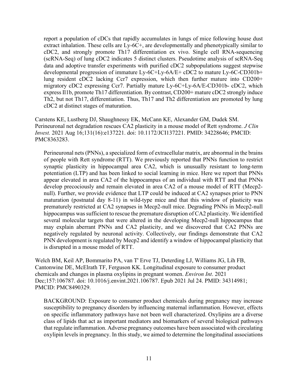report a population of cDCs that rapidly accumulates in lungs of mice following house dust extract inhalation. These cells are Ly-6C+, are developmentally and phenotypically similar to cDC2, and strongly promote Th17 differentiation ex vivo. Single cell RNA-sequencing (scRNA-Seq) of lung cDC2 indicates 5 distinct clusters. Pseudotime analysis of scRNA-Seq data and adoptive transfer experiments with purified cDC2 subpopulations suggest stepwise developmental progression of immature Ly-6C+Ly-6A/E+ cDC2 to mature Ly-6C-CD301b+ lung resident cDC2 lacking Ccr7 expression, which then further mature into CD200+ migratory cDC2 expressing Ccr7. Partially mature Ly-6C+Ly-6A/E-CD301b- cDC2, which express Il1b, promote Th17 differentiation. By contrast, CD200+ mature cDC2 strongly induce Th2, but not Th17, differentiation. Thus, Th17 and Th2 differentiation are promoted by lung cDC2 at distinct stages of maturation.

Carstens KE, Lustberg DJ, Shaughnessy EK, McCann KE, Alexander GM, Dudek SM. Perineuronal net degradation rescues CA2 plasticity in a mouse model of Rett syndrome. *J Clin Invest.* 2021 Aug 16;131(16):e137221. doi: 10.1172/JCI137221. PMID: 34228646; PMCID: PMC8363283.

 prematurely restricted at CA2 synapses in Mecp2-null mice. Degrading PNNs in Mecp2-null negatively regulated by neuronal activity. Collectively, our findings demonstrate that CA2 Perineuronal nets (PNNs), a specialized form of extracellular matrix, are abnormal in the brains of people with Rett syndrome (RTT). We previously reported that PNNs function to restrict synaptic plasticity in hippocampal area CA2, which is unusually resistant to long-term potentiation (LTP) and has been linked to social learning in mice. Here we report that PNNs appear elevated in area CA2 of the hippocampus of an individual with RTT and that PNNs develop precociously and remain elevated in area CA2 of a mouse model of RTT (Mecp2 null). Further, we provide evidence that LTP could be induced at CA2 synapses prior to PNN maturation (postnatal day 8-11) in wild-type mice and that this window of plasticity was hippocampus was sufficient to rescue the premature disruption of CA2 plasticity. We identified several molecular targets that were altered in the developing Mecp2-null hippocampus that may explain aberrant PNNs and CA2 plasticity, and we discovered that CA2 PNNs are PNN development is regulated by Mecp2 and identify a window of hippocampal plasticity that is disrupted in a mouse model of RTT.

Welch BM, Keil AP, Bommarito PA, van T' Erve TJ, Deterding LJ, Williams JG, Lih FB, Cantonwine DE, McElrath TF, Ferguson KK. Longitudinal exposure to consumer product chemicals and changes in plasma oxylipins in pregnant women. *Environ Int*. 2021 Dec;157:106787. doi: 10.1016/j.envint.2021.106787. Epub 2021 Jul 24. PMID: 34314981; PMCID: PMC8490329.

BACKGROUND: Exposure to consumer product chemicals during pregnancy may increase susceptibility to pregnancy disorders by influencing maternal inflammation. However, effects on specific inflammatory pathways have not been well characterized. Oxylipins are a diverse class of lipids that act as important mediators and biomarkers of several biological pathways that regulate inflammation. Adverse pregnancy outcomes have been associated with circulating oxylipin levels in pregnancy. In this study, we aimed to determine the longitudinal associations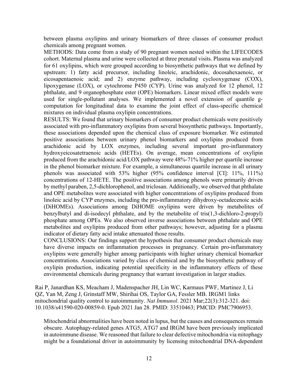between plasma oxylipins and urinary biomarkers of three classes of consumer product chemicals among pregnant women.

 METHODS: Data come from a study of 90 pregnant women nested within the LIFECODES cohort. Maternal plasma and urine were collected at three prenatal visits. Plasma was analyzed for 61 oxylipins, which were grouped according to biosynthetic pathways that we defined by upstream: 1) fatty acid precursor, including linoleic, arachidonic, docosahexaenoic, or eicosapentaenoic acid; and 2) enzyme pathway, including cyclooxygenase (COX), lipoxygenase (LOX), or cytochrome P450 (CYP). Urine was analyzed for 12 phenol, 12 phthalate, and 9 organophosphate ester (OPE) biomarkers. Linear mixed effect models were used for single-pollutant analyses. We implemented a novel extension of quantile gcomputation for longitudinal data to examine the joint effect of class-specific chemical mixtures on individual plasma oxylipin concentrations.

 these associations depended upon the chemical class of exposure biomarker. We estimated indicator of dietary fatty acid intake attenuated those results. RESULTS: We found that urinary biomarkers of consumer product chemicals were positively associated with pro-inflammatory oxylipins from several biosynthetic pathways. Importantly, positive associations between urinary phenol biomarkers and oxylipins produced from arachidonic acid by LOX enzymes, including several important pro-inflammatory hydroxyeicosatetraenoic acids (HETEs). On average, mean concentrations of oxylipin produced from the arachidonic acid/LOX pathway were 48%-71% higher per quartile increase in the phenol biomarker mixture. For example, a simultaneous quartile increase in all urinary phenols was associated with 53% higher (95% confidence interval [CI]: 11%, 111%) concentrations of 12-HETE. The positive associations among phenols were primarily driven by methyl paraben, 2,5-dichlorophenol, and triclosan. Additionally, we observed that phthalate and OPE metabolites were associated with higher concentrations of oxylipins produced from linoleic acid by CYP enzymes, including the pro-inflammatory dihydroxy-octadecenoic acids (DiHOMEs). Associations among DiHOME oxylipins were driven by metabolites of benzylbutyl and di-isodecyl phthalate, and by the metabolite of tris(1,3-dichloro-2-propyl) phosphate among OPEs. We also observed inverse associations between phthalate and OPE metabolites and oxylipins produced from other pathways; however, adjusting for a plasma

CONCLUSIONS: Our findings support the hypothesis that consumer product chemicals may have diverse impacts on inflammation processes in pregnancy. Certain pro-inflammatory oxylipins were generally higher among participants with higher urinary chemical biomarker concentrations. Associations varied by class of chemical and by the biosynthetic pathway of oxylipin production, indicating potential specificity in the inflammatory effects of these environmental chemicals during pregnancy that warrant investigation in larger studies.

Rai P, Janardhan KS, Meacham J, Madenspacher JH, Lin WC, Karmaus PWF, Martinez J, Li QZ, Yan M, Zeng J, Grinstaff MW, Shirihai OS, Taylor GA, Fessler MB. IRGM1 links mitochondrial quality control to autoimmunity. *Nat Immunol*. 2021 Mar;22(3):312-321. doi: 10.1038/s41590-020-00859-0. Epub 2021 Jan 28. PMID: 33510463; PMCID: PMC7906953.

Mitochondrial abnormalities have been noted in lupus, but the causes and consequences remain obscure. Autophagy-related genes ATG5, ATG7 and IRGM have been previously implicated in autoimmune disease. We reasoned that failure to clear defective mitochondria via mitophagy might be a foundational driver in autoimmunity by licensing mitochondrial DNA-dependent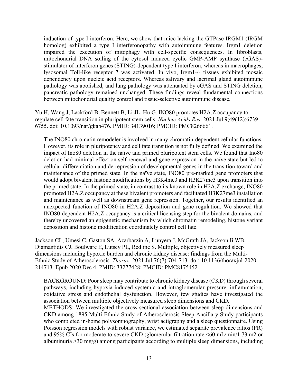induction of type I interferon. Here, we show that mice lacking the GTPase IRGM1 (IRGM homolog) exhibited a type I interferonopathy with autoimmune features. Irgm1 deletion impaired the execution of mitophagy with cell-specific consequences. In fibroblasts, mitochondrial DNA soiling of the cytosol induced cyclic GMP-AMP synthase (cGAS) stimulator of interferon genes (STING)-dependent type I interferon, whereas in macrophages, lysosomal Toll-like receptor 7 was activated. In vivo, Irgm1-/- tissues exhibited mosaic dependency upon nucleic acid receptors. Whereas salivary and lacrimal gland autoimmune pathology was abolished, and lung pathology was attenuated by cGAS and STING deletion, pancreatic pathology remained unchanged. These findings reveal fundamental connections between mitochondrial quality control and tissue-selective autoimmune disease.

Yu H, Wang J, Lackford B, Bennett B, Li JL, Hu G. INO80 promotes H2A.Z occupancy to regulate cell fate transition in pluripotent stem cells. *Nucleic Acids Res*. 2021 Jul 9;49(12):6739- 6755. doi: 10.1093/nar/gkab476. PMID: 34139016; PMCID: PMC8266661.

 The INO80 chromatin remodeler is involved in many chromatin-dependent cellular functions. INO80-dependent H2A.Z occupancy is a critical licensing step for the bivalent domains, and However, its role in pluripotency and cell fate transition is not fully defined. We examined the impact of Ino80 deletion in the naïve and primed pluripotent stem cells. We found that Ino80 deletion had minimal effect on self-renewal and gene expression in the naïve state but led to cellular differentiation and de-repression of developmental genes in the transition toward and maintenance of the primed state. In the naïve state, INO80 pre-marked gene promoters that would adopt bivalent histone modifications by H3K4me3 and H3K27me3 upon transition into the primed state. In the primed state, in contrast to its known role in H2A.Z exchange, INO80 promoted H2A.Z occupancy at these bivalent promoters and facilitated H3K27me3 installation and maintenance as well as downstream gene repression. Together, our results identified an unexpected function of INO80 in H2A.Z deposition and gene regulation. We showed that thereby uncovered an epigenetic mechanism by which chromatin remodeling, histone variant deposition and histone modification coordinately control cell fate.

Jackson CL, Umesi C, Gaston SA, Azarbarzin A, Lunyera J, McGrath JA, Jackson Ii WB, Diamantidis CJ, Boulware E, Lutsey PL, Redline S. Multiple, objectively measured sleep dimensions including hypoxic burden and chronic kidney disease: findings from the Multi-Ethnic Study of Atherosclerosis. *Thorax*. 2021 Jul;76(7):704-713. doi: 10.1136/thoraxjnl-2020- 214713. Epub 2020 Dec 4. PMID: 33277428; PMCID: PMC8175452.

BACKGROUND: Poor sleep may contribute to chronic kidney disease (CKD) through several pathways, including hypoxia-induced systemic and intraglomerular pressure, inflammation, oxidative stress and endothelial dysfunction. However, few studies have investigated the association between multiple objectively measured sleep dimensions and CKD.

METHODS: We investigated the cross-sectional association between sleep dimensions and CKD among 1895 Multi-Ethnic Study of Atherosclerosis Sleep Ancillary Study participants who completed in-home polysomnography, wrist actigraphy and a sleep questionnaire. Using Poisson regression models with robust variance, we estimated separate prevalence ratios (PR) and 95% CIs for moderate-to-severe CKD (glomerular filtration rate <60 [mL/min/1.73](https://mL/min/1.73) m2 or albuminuria  $>$ 30 mg/g) among participants according to multiple sleep dimensions, including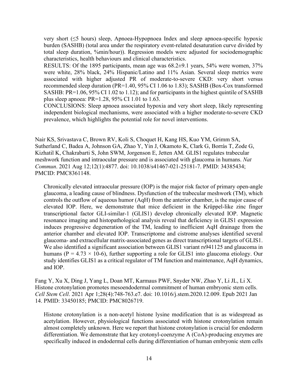very short (≤5 hours) sleep, Apnoea-Hypopnoea Index and sleep apnoea-specific hypoxic burden (SASHB) (total area under the respiratory event-related desaturation curve divided by total sleep duration, %min/hour)). Regression models were adjusted for sociodemographic characteristics, health behaviours and clinical characteristics.

RESULTS: Of the 1895 participants, mean age was 68.2±9.1 years, 54% were women, 37% were white, 28% black, 24% Hispanic/Latino and 11% Asian. Several sleep metrics were associated with higher adjusted PR of moderate-to-severe CKD: very short versus recommended sleep duration (PR=1.40, 95% CI 1.06 to 1.83); SASHB (Box-Cox transformed SASHB: PR=1.06, 95% CI 1.02 to 1.12); and for participants in the highest quintile of SASHB plus sleep apnoea: PR=1.28, 95% CI 1.01 to 1.63.

CONCLUSIONS: Sleep apnoea associated hypoxia and very short sleep, likely representing independent biological mechanisms, were associated with a higher moderate-to-severe CKD prevalence, which highlights the potential role for novel interventions.

Nair KS, Srivastava C, Brown RV, Koli S, Choquet H, Kang HS, Kuo YM, Grimm SA, Sutherland C, Badea A, Johnson GA, Zhao Y, Yin J, Okamoto K, Clark G, Borrás T, Zode G, Kizhatil K, Chakrabarti S, John SWM, Jorgenson E, Jetten AM. GLIS1 regulates trabecular meshwork function and intraocular pressure and is associated with glaucoma in humans. *Nat Commun*. 2021 Aug 12;12(1):4877. doi: 10.1038/s41467-021-25181-7. PMID: 34385434; PMCID: PMC8361148.

 study identifies GLIS1 as a critical regulator of TM function and maintenance, AqH dynamics, Chronically elevated intraocular pressure (IOP) is the major risk factor of primary open-angle glaucoma, a leading cause of blindness. Dysfunction of the trabecular meshwork (TM), which controls the outflow of aqueous humor (AqH) from the anterior chamber, is the major cause of elevated IOP. Here, we demonstrate that mice deficient in the Krüppel-like zinc finger transcriptional factor GLI-similar-1 (GLIS1) develop chronically elevated IOP. Magnetic resonance imaging and histopathological analysis reveal that deficiency in GLIS1 expression induces progressive degeneration of the TM, leading to inefficient AqH drainage from the anterior chamber and elevated IOP. Transcriptome and cistrome analyses identified several glaucoma- and extracellular matrix-associated genes as direct transcriptional targets of GLIS1. We also identified a significant association between GLIS1 variant rs941125 and glaucoma in humans ( $P = 4.73 \times 10^{-6}$ ), further supporting a role for GLIS1 into glaucoma etiology. Our and IOP.

Fang Y, Xu X, Ding J, Yang L, Doan MT, Karmaus PWF, Snyder NW, Zhao Y, Li JL, Li X. Histone crotonylation promotes mesoendodermal commitment of human embryonic stem cells. *Cell Stem Cell*. 2021 Apr [1;28\(4\):748-763.e7.](https://1;28(4):748-763.e7) doi: 10.1016/j.stem.2020.12.009. Epub 2021 Jan 14. PMID: 33450185; PMCID: PMC8026719.

 almost completely unknown. Here we report that histone crotonylation is crucial for endoderm Histone crotonylation is a non-acetyl histone lysine modification that is as widespread as acetylation. However, physiological functions associated with histone crotonylation remain differentiation. We demonstrate that key crotonyl-coenzyme A (CoA)-producing enzymes are specifically induced in endodermal cells during differentiation of human embryonic stem cells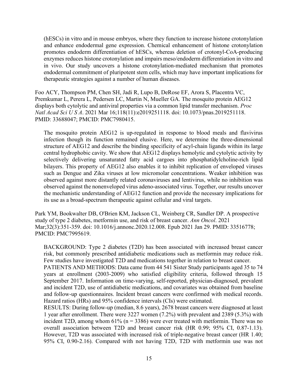(hESCs) in vitro and in mouse embryos, where they function to increase histone crotonylation and enhance endodermal gene expression. Chemical enhancement of histone crotonylation promotes endoderm differentiation of hESCs, whereas deletion of crotonyl-CoA-producing enzymes reduces histone crotonylation and impairs meso/endoderm differentiation in vitro and in vivo. Our study uncovers a histone crotonylation-mediated mechanism that promotes endodermal commitment of pluripotent stem cells, which may have important implications for therapeutic strategies against a number of human diseases.

Foo ACY, Thompson PM, Chen SH, Jadi R, Lupo B, DeRose EF, Arora S, Placentra VC, Premkumar L, Perera L, Pedersen LC, Martin N, Mueller GA. The mosquito protein AEG12 displays both cytolytic and antiviral properties via a common lipid transfer mechanism. *Proc Natl Acad Sci U S A*. 2021 Mar 16;118(11):e2019251118. doi: 10.1073/pnas.2019251118. PMID: 33688047; PMCID: PMC7980415.

The mosquito protein AEG12 is up-regulated in response to blood meals and flavivirus infection though its function remained elusive. Here, we determine the three-dimensional structure of AEG12 and describe the binding specificity of acyl-chain ligands within its large central hydrophobic cavity. We show that AEG12 displays hemolytic and cytolytic activity by selectively delivering unsaturated fatty acid cargoes into phosphatidylcholine-rich lipid bilayers. This property of AEG12 also enables it to inhibit replication of enveloped viruses such as Dengue and Zika viruses at low micromolar concentrations. Weaker inhibition was observed against more distantly related coronaviruses and lentivirus, while no inhibition was observed against the nonenveloped virus adeno-associated virus. Together, our results uncover the mechanistic understanding of AEG12 function and provide the necessary implications for its use as a broad-spectrum therapeutic against cellular and viral targets.

Park YM, Bookwalter DB, O'Brien KM, Jackson CL, Weinberg CR, Sandler DP. A prospective study of type 2 diabetes, metformin use, and risk of breast cancer. *Ann Oncol*. 2021 Mar;32(3):351-359. doi: 10.1016/j.annonc.2020.12.008. Epub 2021 Jan 29. PMID: 33516778; PMCID: PMC7995619.

BACKGROUND: Type 2 diabetes (T2D) has been associated with increased breast cancer risk, but commonly prescribed antidiabetic medications such as metformin may reduce risk. Few studies have investigated T2D and medications together in relation to breast cancer.

 PATIENTS AND METHODS: Data came from 44 541 Sister Study participants aged 35 to 74 Hazard ratios (HRs) and 95% confidence intervals (CIs) were estimated. years at enrollment (2003-2009) who satisfied eligibility criteria, followed through 15 September 2017. Information on time-varying, self-reported, physician-diagnosed, prevalent and incident T2D, use of antidiabetic medications, and covariates was obtained from baseline and follow-up questionnaires. Incident breast cancers were confirmed with medical records.

RESULTS: During follow-up (median, 8.6 years), 2678 breast cancers were diagnosed at least 1 year after enrollment. There were 3227 women (7.2%) with prevalent and 2389 (5.3%) with incident T2D, among whom  $61\%$  (n = 3386) were ever treated with metformin. There was no overall association between T2D and breast cancer risk (HR 0.99; 95% CI, [0.87-1.13](https://0.87-1.13)). However, T2D was associated with increased risk of triple-negative breast cancer (HR 1.40; 95% CI, [0.90-2.16\)](https://0.90-2.16). Compared with not having T2D, T2D with metformin use was not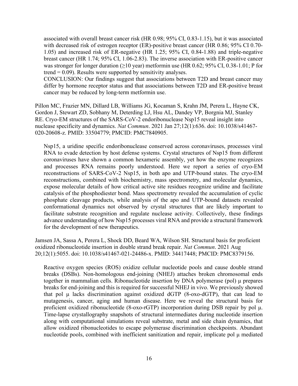with decreased risk of estrogen receptor (ER)-positive breast cancer (HR 0.86; 95% CI 0.70 was stronger for longer duration  $(\geq 10 \text{ year})$  metformin use (HR 0.62; 95% CI, 0.38[-1.01](https://0.38-1.01); P for associated with overall breast cancer risk (HR 0.98; 95% CI, [0.83-1.15\)](https://0.83-1.15), but it was associated 1.05) and increased risk of ER-negative (HR 1.25; 95% CI, [0.84-1.88](https://0.84-1.88)) and triple-negative breast cancer (HR 1.74; 95% CI, [1.06-2.83](https://1.06-2.83)). The inverse association with ER-positive cancer  $trend = 0.09$ . Results were supported by sensitivity analyses.

CONCLUSION: Our findings suggest that associations between T2D and breast cancer may differ by hormone receptor status and that associations between T2D and ER-positive breast cancer may be reduced by long-term metformin use.

 nuclease specificity and dynamics. *Nat Commun*. 2021 Jan 27;12(1):636. doi: 10.1038/s41467- Pillon MC, Frazier MN, Dillard LB, Williams JG, Kocaman S, Krahn JM, Perera L, Hayne CK, Gordon J, Stewart ZD, Sobhany M, Deterding LJ, Hsu AL, Dandey VP, Borgnia MJ, Stanley RE. Cryo-EM structures of the SARS-CoV-2 endoribonuclease Nsp15 reveal insight into 020-20608-z. PMID: 33504779; PMCID: PMC7840905.

 and processes RNA remains poorly understood. Here we report a series of cryo-EM Nsp15, a uridine specific endoribonuclease conserved across coronaviruses, processes viral RNA to evade detection by host defense systems. Crystal structures of Nsp15 from different coronaviruses have shown a common hexameric assembly, yet how the enzyme recognizes reconstructions of SARS-CoV-2 Nsp15, in both apo and UTP-bound states. The cryo-EM reconstructions, combined with biochemistry, mass spectrometry, and molecular dynamics, expose molecular details of how critical active site residues recognize uridine and facilitate catalysis of the phosphodiester bond. Mass spectrometry revealed the accumulation of cyclic phosphate cleavage products, while analysis of the apo and UTP-bound datasets revealed conformational dynamics not observed by crystal structures that are likely important to facilitate substrate recognition and regulate nuclease activity. Collectively, these findings advance understanding of how Nsp15 processes viral RNA and provide a structural framework for the development of new therapeutics.

Jamsen JA, Sassa A, Perera L, Shock DD, Beard WA, Wilson SH. Structural basis for proficient oxidized ribonucleotide insertion in double strand break repair. *Nat Commun*. 2021 Aug 20;12(1):5055. doi: 10.1038/s41467-021-24486-x. PMID: 34417448; PMCID: PMC8379156.

 together in mammalian cells. Ribonucleotide insertion by DNA polymerase (pol) μ prepares that pol μ lacks discrimination against oxidized dGTP (8-oxo-dGTP), that can lead to proficient oxidized ribonucleotide (8-oxo-rGTP) incorporation during DSB repair by pol μ. nucleotide pools, combined with inefficient sanitization and repair, implicate pol μ mediated Reactive oxygen species (ROS) oxidize cellular nucleotide pools and cause double strand breaks (DSBs). Non-homologous end-joining (NHEJ) attaches broken chromosomal ends breaks for end-joining and this is required for successful NHEJ in vivo. We previously showed mutagenesis, cancer, aging and human disease. Here we reveal the structural basis for Time-lapse crystallography snapshots of structural intermediates during nucleotide insertion along with computational simulations reveal substrate, metal and side chain dynamics, that allow oxidized ribonucleotides to escape polymerase discrimination checkpoints. Abundant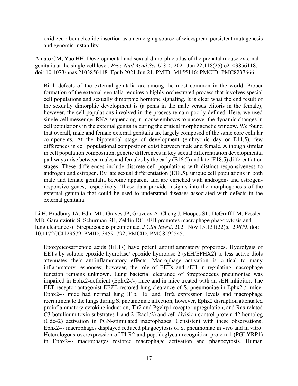oxidized ribonucleotide insertion as an emerging source of widespread persistent mutagenesis and genomic instability.

Amato CM, Yao HH. Developmental and sexual dimorphic atlas of the prenatal mouse external genitalia at the single-cell level. *Proc Natl Acad Sci U S A*. 2021 Jun 22;118(25):e2103856118. doi: 10.1073/pnas.2103856118. Epub 2021 Jun 21. PMID: 34155146; PMCID: PMC8237666.

 androgen and estrogen. By late sexual differentiation (E18.5), unique cell populations in both Birth defects of the external genitalia are among the most common in the world. Proper formation of the external genitalia requires a highly orchestrated process that involves special cell populations and sexually dimorphic hormone signaling. It is clear what the end result of the sexually dimorphic development is (a penis in the male versus clitoris in the female); however, the cell populations involved in the process remain poorly defined. Here, we used single-cell messenger RNA sequencing in mouse embryos to uncover the dynamic changes in cell populations in the external genitalia during the critical morphogenetic window. We found that overall, male and female external genitalia are largely composed of the same core cellular components. At the bipotential stage of development (embryonic day or E14.5), few differences in cell populational composition exist between male and female. Although similar in cell population composition, genetic differences in key sexual differentiation developmental pathways arise between males and females by the early (E16.5) and late (E18.5) differentiation stages. These differences include discrete cell populations with distinct responsiveness to male and female genitalia become apparent and are enriched with androgen- and estrogenresponsive genes, respectively. These data provide insights into the morphogenesis of the external genitalia that could be used to understand diseases associated with defects in the external genitalia.

Li H, Bradbury JA, Edin ML, Graves JP, Gruzdev A, Cheng J, Hoopes SL, DeGraff LM, Fessler MB, Garantziotis S, Schurman SH, Zeldin DC. sEH promotes macrophage phagocytosis and lung clearance of Streptococcus pneumoniae. *J Clin Invest*. 2021 Nov 15;131(22):e129679. doi: 10.1172/JCI129679. PMID: 34591792; PMCID: PMC8592545.

Epoxyeicosatrienoic acids (EETs) have potent antiinflammatory properties. Hydrolysis of EETs by soluble epoxide hydrolase/ epoxide hydrolase 2 (sEH/EPHX2) to less active diols attenuates their antiinflammatory effects. Macrophage activation is critical to many inflammatory responses; however, the role of EETs and sEH in regulating macrophage function remains unknown. Lung bacterial clearance of Streptococcus pneumoniae was impaired in Ephx2-deficient (Ephx2-/-) mice and in mice treated with an sEH inhibitor. The EET receptor antagonist EEZE restored lung clearance of S. pneumoniae in Ephx2-/- mice. Ephx2-/- mice had normal lung Il1b, Il6, and Tnfa expression levels and macrophage recruitment to the lungs during S. pneumoniae infection; however, Ephx2 disruption attenuated proinflammatory cytokine induction, Tlr2 and Pgylrp1 receptor upregulation, and Ras-related C3 botulinum toxin substrates 1 and 2 (Rac1/2) and cell division control protein 42 homolog (Cdc42) activation in PGN-stimulated macrophages. Consistent with these observations, Ephx2-/- macrophages displayed reduced phagocytosis of S. pneumoniae in vivo and in vitro. Heterologous overexpression of TLR2 and peptidoglycan recognition protein 1 (PGLYRP1) in Ephx2-/- macrophages restored macrophage activation and phagocytosis. Human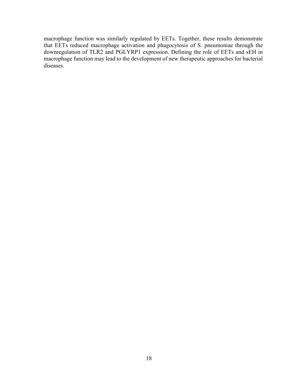macrophage function may lead to the development of new therapeutic approaches for bacterial macrophage function was similarly regulated by EETs. Together, these results demonstrate that EETs reduced macrophage activation and phagocytosis of S. pneumoniae through the downregulation of TLR2 and PGLYRP1 expression. Defining the role of EETs and sEH in diseases.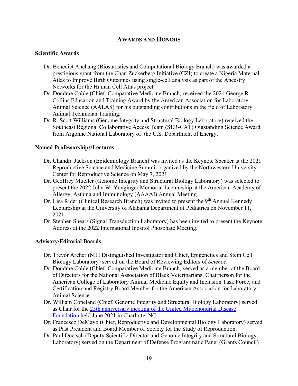#### **AWARDS AND HONORS**

#### **Scientific Awards**

- Dr. Benedict Anchang (Biostatistics and Computational Biology Branch) was awarded a prestigious grant from the Chan Zuckerberg Initiative (CZI) to create a Nigeria Maternal Atlas to Improve Birth Outcomes using single-cell analysis as part of the Ancestry Networks for the Human Cell Atlas project.
- Dr. Dondrae Coble (Chief, Comparative Medicine Branch) received the 2021 George R. Collins Education and Training Award by the American Association for Laboratory Animal Science (AALAS) for his outstanding contributions in the field of Laboratory Animal Technician Training.
- Dr. R. Scott Williams (Genome Integrity and Structural Biology Laboratory) received the Southeast Regional Collaborative Access Team (SER-CAT) Outstanding Science Award from Argonne National Laboratory of the U.S. Department of Energy.

#### **Named Professorships/Lectures**

- Dr. Chandra Jackson (Epidemiology Branch) was invited as the Keynote Speaker at the 2021 Center for Reproductive Science on May 7, 2021. Reproductive Science and Medicine Summit organized by the Northwestern University
- Dr. Geoffrey Mueller (Genome Integrity and Structural Biology Laboratory) was selected to present the 2022 John W. Yunginger Memorial Lectureship at the American Academy of Allergy, Asthma and Immunology (AAAAI) Annual Meeting.
- Dr. Lisa Rider (Clinical Research Branch) was invited to present the 9<sup>th</sup> Annual Kennedy Lectureship at the University of Alabama Department of Pediatrics on November 11, 2021.
- Dr. Stephen Shears (Signal Transduction Laboratory) has been invited to present the Keynote Address at the 2022 International Inositol Phosphate Meeting.

#### **Advisory/Editorial Boards**

- Dr. Trevor Archer (NIH Distinguished Investigator and Chief, Epigenetics and Stem Cell Biology Laboratory) served on the Board of Reviewing Editors of *Science*.
- Certification and Registry Board Member for the American Association for Laboratory Dr. Dondrae Coble (Chief, Comparative Medicine Branch) served as a member of the Board of Directors for the National Association of Black Veterinarians; Chairperson for the American College of Laboratory Animal Medicine Equity and Inclusion Task Force; and Animal Science.
- Dr. William Copeland (Chief, Genome Integrity and Structural Biology Laboratory) served as Chair for the 25th anniversary meeting of the United Mitochondrial Disease [Foundation](https://www.umdf.org/symposium/) held June 2021 in Charlotte, NC.
- as Past President and Board Member of Society for the Study of Reproduction. Dr. Francesco DeMayo (Chief, Reproductive and Developmental Biology Laboratory) served
- Dr. Paul Doetsch (Deputy Scientific Director and Genome Integrity and Structural Biology Laboratory) served on the Department of Defense Programmatic Panel (Grants Council)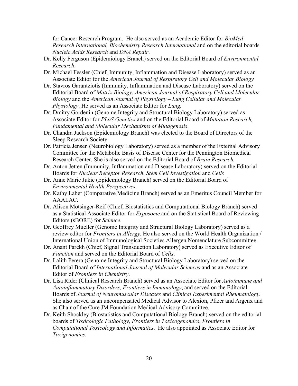for Cancer Research Program. He also served as an Academic Editor for *BioMed Research International, Biochemistry Research International* and on the editorial boards *Nucleic Acids Research* and *DNA Repair*.

- Dr. Kelly Ferguson (Epidemiology Branch) served on the Editorial Board of *Environmental Research*.
- Dr. Michael Fessler (Chief, Immunity, Inflammation and Disease Laboratory) served as an Associate Editor for the *American Journal of Respiratory Cell and Molecular Biology*
- Dr. Stavros Garantziotis (Immunity, Inflammation and Disease Laboratory) served on the *Biology* and the *American Journal of Physiology – Lung Cellular and Molecular Physiology*. He served as an Associate Editor for *Lung.*  Editorial Board of *Matrix Biology*, *American Journal of Respiratory Cell and Molecular*
- Associate Editor for *PLoS Genetics* and on the Editorial Board of *Mutation Research,*  Dr. Dmitry Gordenin (Genome Integrity and Structural Biology Laboratory) served as *Fundamental and Molecular Mechanisms of Mutagenesis*.
- Sleep Research Society. Sleep Research Society. Dr. Patricia Jensen (Neurobiology Laboratory) served as a member of the External Advisory Dr. Chandra Jackson (Epidemiology Branch) was elected to the Board of Directors of the
- Committee for the Metabolic Basis of Disease Center for the Pennington Biomedical Research Center. She is also served on the Editorial Board of *Brain Research.*
- Boards for *Nuclear Receptor Research*, *Stem Cell Investigation* and *Cells*  Dr. Anton Jetten (Immunity, Inflammation and Disease Laboratory) served on the Editorial
- Dr. Anne Marie Jukic (Epidemiology Branch) served on the Editorial Board of *Environmental Health Perspectives.*
- Dr. Kathy Laber (Comparative Medicine Branch) served as an Emeritus Council Member for AAALAC.
- as a Statistical Associate Editor for *Exposome* and on the Statistical Board of Reviewing Editors (sBORE) for *Science*. Dr. Alison Motsinger-Reif (Chief, Biostatistics and Computational Biology Branch) served
- Dr. Geoffrey Mueller (Genome Integrity and Structural Biology Laboratory) served as a review editor for *Frontiers in Allergy*. He also served on the World Health Organization / International Union of Immunological Societies Allergen Nomenclature Subcommittee.
- Dr. Anant Parekh (Chief, Signal Transduction Laboratory) served as Executive Editor of *Function* and served on the Editorial Board of *Cells*.
- Dr. Lalith Perera (Genome Integrity and Structural Biology Laboratory) served on the Editorial Board of *International Journal of Molecular Sciences* and as an Associate Editor of *Frontiers in Chemistry*.
- *Autoinflammatory Disorders, Frontiers in Immunology*, and served on the Editorial as Chair of the Cure JM Foundation Medical Advisory Committee. Dr. Lisa Rider (Clinical Research Branch) served as an Associate Editor for *Autoimmune and*  Boards of *Journal of Neuromuscular Diseases* and *Clinical Experimental Rheumatology.*  She also served as an uncompensated Medical Advisor to Alexion, Pfizer and Argenx and
- Dr. Keith Shockley (Biostatistics and Computational Biology Branch) served on the editorial boards of *Toxicologic Pathology*, *Frontiers in Toxicogenomics*, *Frontiers in Computational Toxicology and Informatics*. He also appointed as Associate Editor for *Toxigenomics*.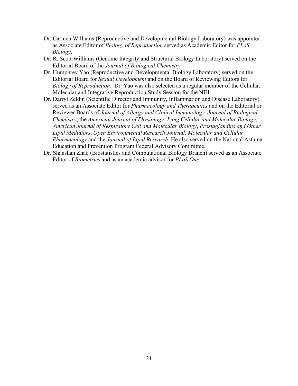- as Associate Editor of *Biology of Reproduction* served as Academic Editor for *PLoS*  Dr. Carmen Williams (Reproductive and Developmental Biology Laboratory) was appointed *Biology*.
- Dr. R. Scott Williams (Genome Integrity and Structural Biology Laboratory) served on the Editorial Board of the *Journal of Biological Chemistry.*
- *Biology of Reproduction.* Dr. Yao was also selected as a regular member of the Cellular, Dr. Humphrey Yao (Reproductive and Developmental Biology Laboratory) served on the Editorial Board for *Sexual Development* and on the Board of Reviewing Editors for Molecular and Integrative Reproduction Study Session for the NIH.
- *Pharmacology* and the *Journal of Lipid Research.* He also served on the National Asthma Dr. Darryl Zeldin (Scientific Director and Immunity, Inflammation and Disease Laboratory) served as an Associate Editor for *Pharmacology and Therapeutics* and on the Editorial or Reviewer Boards of *Journal of Allergy and Clinical Immunology, Journal of Biological Chemistry*, the *American Journal of Physiology: Lung Cellular and Molecular Biology*, *American Journal of Respiratory Cell and Molecular Biology*, *Prostaglandins and Other Lipid Mediators*, *Open Environmental Research Journal, Molecular and Cellular*  Education and Prevention Program Federal Advisory Committee.
- Dr. Shanshan Zhao (Biostatistics and Computational Biology Branch) served as an Associate Editor of *Biometrics* and as an academic advisor for *PLoS One*.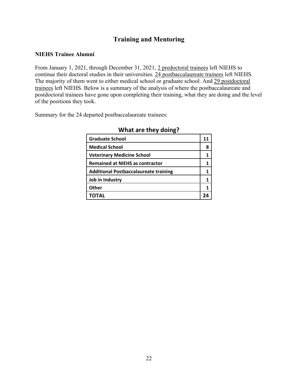### **Training and Mentoring**

#### **NIEHS Trainee Alumni**

trainees left NIEHS. Below is a summary of the analysis of where the postbaccalaureate and From January 1, 2021, through December 31, 2021, 2 predoctoral trainees left NIEHS to continue their doctoral studies in their universities. 24 postbaccalaureate trainees left NIEHS. The majority of them went to either medical school or graduate school. And 29 postdoctoral postdoctoral trainees have gone upon completing their training, what they are doing and the level of the positions they took.

Summary for the 24 departed postbaccalaureate trainees:

| <b>Graduate School</b>                       | 11 |
|----------------------------------------------|----|
| <b>Medical School</b>                        | 8  |
| <b>Veterinary Medicine School</b>            |    |
| <b>Remained at NIEHS as contractor</b>       |    |
| <b>Additional Postbaccalaureate training</b> |    |
| Job in Industry                              |    |
| <b>Other</b>                                 |    |
|                                              |    |

#### **What are they doing?**